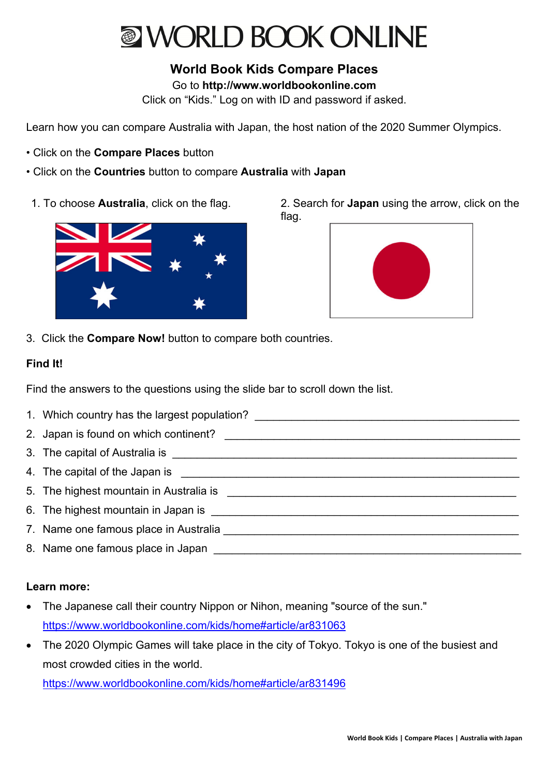## **NORLD BOOK ONLINE**

**World Book Kids Compare Places** 

Go to **http://www.worldbookonline.com**

Click on "Kids." Log on with ID and password if asked.

Learn how you can compare Australia with Japan, the host nation of the 2020 Summer Olympics.

- Click on the **Compare Places** button
- Click on the **Countries** button to compare **Australia** with **Japan**
- 



1. To choose **Australia**, click on the flag. 2. Search for **Japan** using the arrow, click on the flag.



3. Click the **Compare Now!** button to compare both countries.

## **Find It!**

Find the answers to the questions using the slide bar to scroll down the list.

- 1. Which country has the largest population?
- 2. Japan is found on which continent? \_\_\_\_\_\_\_\_\_\_\_\_\_\_\_\_\_\_\_\_\_\_\_\_\_\_\_\_\_\_\_\_\_\_\_\_\_\_\_\_\_\_\_\_\_\_\_\_
- 3. The capital of Australia is \_\_\_\_\_\_\_\_\_\_\_\_\_\_\_\_\_\_\_\_\_\_\_\_\_\_\_\_\_\_\_\_\_\_\_\_\_\_\_\_\_\_\_\_\_\_\_\_\_\_\_\_\_\_\_\_
- 4. The capital of the Japan is **Example 20** is the capital of the Japan is
- 5. The highest mountain in Australia is \_\_\_\_\_\_\_\_\_\_\_\_\_\_\_\_\_\_\_\_\_\_\_\_\_\_\_\_\_\_\_\_\_\_\_\_\_\_\_\_\_\_\_\_\_\_\_
- 6. The highest mountain in Japan is \_\_\_\_\_\_\_\_\_\_\_\_\_\_\_\_\_\_\_\_\_\_\_\_\_\_\_\_\_\_\_\_\_\_\_\_\_\_\_\_\_\_\_\_\_\_\_\_\_\_
- 7. Name one famous place in Australia \_\_\_\_\_\_\_\_\_\_\_\_\_\_\_\_\_\_\_\_\_\_\_\_\_\_\_\_\_\_\_\_\_\_\_\_\_\_\_\_\_\_\_\_\_\_\_\_
- 8. Name one famous place in Japan **and the set of the set of the set of the set of the set of the set of the set of the set of the set of the set of the set of the set of the set of the set of the set of the set of the set**

## **Learn more:**

- The Japanese call their country Nippon or Nihon, meaning "source of the sun." https://www.worldbookonline.com/kids/home#article/ar831063
- The 2020 Olympic Games will take place in the city of Tokyo. Tokyo is one of the busiest and most crowded cities in the world.

https://www.worldbookonline.com/kids/home#article/ar831496